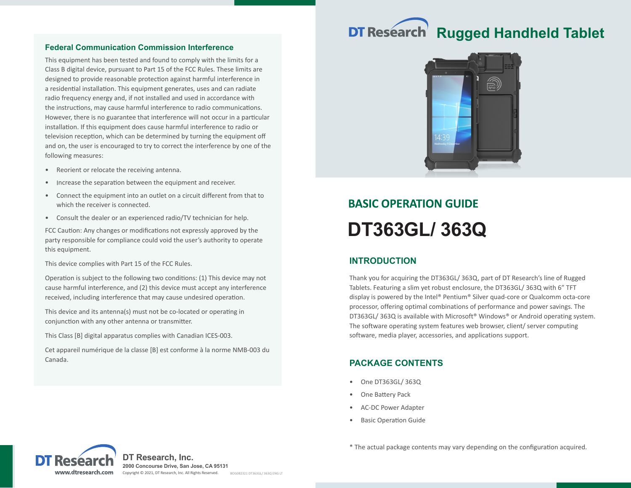# **DT Research Rugged Handheld Tablet**

### **Federal Communication Commission Interference**

This equipment has been tested and found to comply with the limits for a Class B digital device, pursuant to Part 15 of the FCC Rules. These limits are designed to provide reasonable protection against harmful interference in a residential installation. This equipment generates, uses and can radiate radio frequency energy and, if not installed and used in accordance with the instructions, may cause harmful interference to radio communications. However, there is no guarantee that interference will not occur in a particular installation. If this equipment does cause harmful interference to radio or television reception, which can be determined by turning the equipment off and on, the user is encouraged to try to correct the interference by one of the following measures:

- Reorient or relocate the receiving antenna.
- Increase the separation between the equipment and receiver.
- Connect the equipment into an outlet on a circuit different from that to which the receiver is connected.
- Consult the dealer or an experienced radio/TV technician for help.

FCC Caution: Any changes or modifications not expressly approved by the party responsible for compliance could void the user's authority to operate this equipment.

This device complies with Part 15 of the FCC Rules.

Operation is subject to the following two conditions: (1) This device may not cause harmful interference, and (2) this device must accept any interference received, including interference that may cause undesired operation.

This device and its antenna(s) must not be co-located or operating in conjunction with any other antenna or transmitter.

This Class [B] digital apparatus complies with Canadian ICES-003.

Cet appareil numérique de la classe [B] est conforme à la norme NMB-003 du Canada.



# **BASIC OPERATION GUIDE DT363GL/ 363Q**

# **INTRODUCTION**

Thank you for acquiring the DT363GL/ 363Q, part of DT Research's line of Rugged Tablets. Featuring a slim yet robust enclosure, the DT363GL/ 363Q with 6" TFT display is powered by the Intel® Pentium® Silver quad-core or Qualcomm octa-core processor, offering optimal combinations of performance and power savings. The DT363GL/ 363Q is available with Microsoft® Windows® or Android operating system. The software operating system features web browser, client/ server computing software, media player, accessories, and applications support.

# **PACKAGE CONTENTS**

- One DT363GL/ 363Q
- One Battery Pack
- AC-DC Power Adapter
- **Basic Operation Guide**



\* The actual package contents may vary depending on the configuration acquired.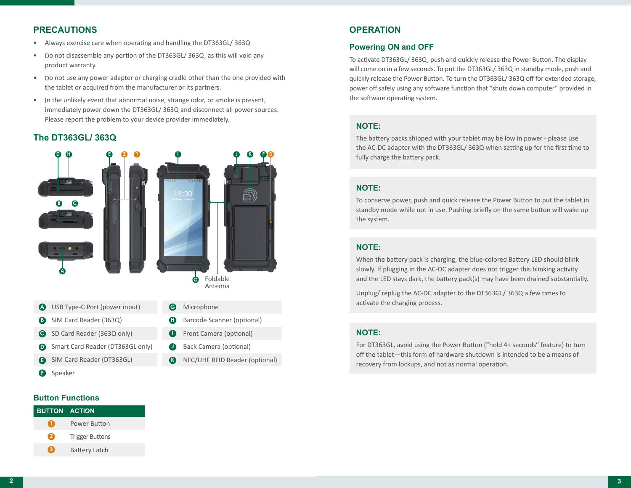# **PRECAUTIONS**

- Always exercise care when operating and handling the DT363GL/ 363Q
- Do not disassemble any portion of the DT363GL/ 363Q, as this will void any product warranty.
- Do not use any power adapter or charging cradle other than the one provided with the tablet or acquired from the manufacturer or its partners.
- In the unlikely event that abnormal noise, strange odor, or smoke is present, immediately power down the DT363GL/ 363Q and disconnect all power sources. Please report the problem to your device provider immediately.

#### **The DT363GL/ 363Q**



- SIM Card Reader (DT363GL) **E**
- **F** Speaker

NFC/UHF RFID Reader (optional) **K**

# **OPERATION**

### **Powering ON and OFF**

To activate DT363GL/ 363Q, push and quickly release the Power Button. The display will come on in a few seconds. To put the DT363GL/ 363Q in standby mode, push and quickly release the Power Button. To turn the DT363GL/ 363Q off for extended storage, power off safely using any software function that "shuts down computer" provided in the software operating system.

#### **NOTE:**

The battery packs shipped with your tablet may be low in power - please use the AC-DC adapter with the DT363GL/ 363Q when setting up for the first time to fully charge the battery pack.

#### **NOTE:**

To conserve power, push and quick release the Power Button to put the tablet in standby mode while not in use. Pushing briefly on the same button will wake up the system.

## **NOTE:**

When the battery pack is charging, the blue-colored Battery LED should blink slowly. If plugging in the AC-DC adapter does not trigger this blinking activity and the LED stays dark, the battery pack(s) may have been drained substantially.

Unplug/ replug the AC-DC adapter to the DT363GL/ 363Q a few times to activate the charging process.

#### **NOTE:**

For DT363GL, avoid using the Power Button ("hold 4+ seconds" feature) to turn off the tablet—this form of hardware shutdown is intended to be a means of recovery from lockups, and not as normal operation.

#### **Button Functions**

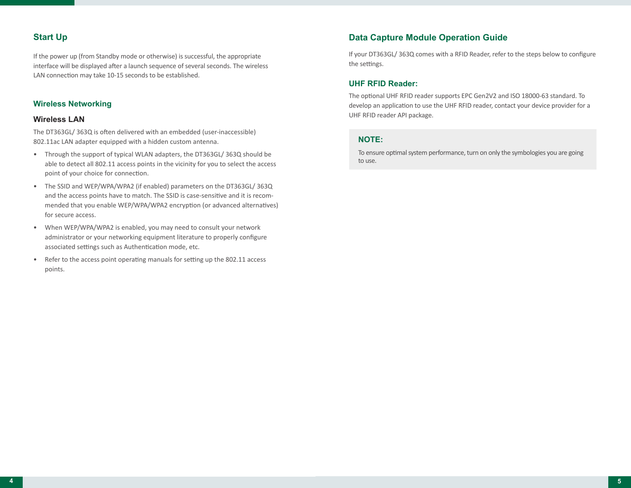# **Start Up**

If the power up (from Standby mode or otherwise) is successful, the appropriate interface will be displayed after a launch sequence of several seconds. The wireless LAN connection may take 10-15 seconds to be established.

#### **Wireless Networking**

#### **Wireless LAN**

The DT363GL/ 363Q is often delivered with an embedded (user-inaccessible) 802.11ac LAN adapter equipped with a hidden custom antenna.

- Through the support of typical WLAN adapters, the DT363GL/ 363Q should be able to detect all 802.11 access points in the vicinity for you to select the access point of your choice for connection.
- The SSID and WEP/WPA/WPA2 (if enabled) parameters on the DT363GL/ 363Q and the access points have to match. The SSID is case-sensitive and it is recommended that you enable WEP/WPA/WPA2 encryption (or advanced alternatives) for secure access.
- When WEP/WPA/WPA2 is enabled, you may need to consult your network administrator or your networking equipment literature to properly configure associated settings such as Authentication mode, etc.
- Refer to the access point operating manuals for setting up the 802.11 access points.

# **Data Capture Module Operation Guide**

If your DT363GL/ 363Q comes with a RFID Reader, refer to the steps below to configure the settings.

#### **UHF RFID Reader:**

The optional UHF RFID reader supports EPC Gen2V2 and ISO 18000-63 standard. To develop an application to use the UHF RFID reader, contact your device provider for a UHF RFID reader API package.

#### **NOTE:**

To ensure optimal system performance, turn on only the symbologies you are going to use.